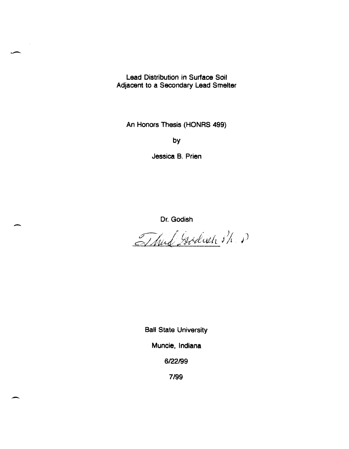Lead Distribution in Surface Soil Adjacent to a Secondary lead Smelter

.. -

-

-

An Honors Thesis (HONRS 499)

by

Jessica B. Prien

Dr. Godish

Thud Godiah Sh P

Ball State University Muncie, Indiana 6122199

7/99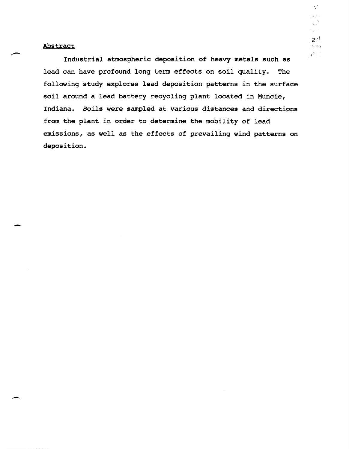~-

-

-

Industrial atmospheric deposition of heavy metals such as lead can have profound long term effects on soil quality. The following study explores lead deposition patterns in the surface soil around a lead battery recycling plant located in Muncie, Indiana. Soils were sampled at various distances and directions from the plant in order to determine the mobility of lead emissions, as well as the effects of prevailing wind patterns on deposition.

 $\mathcal{P}^{\mathcal{A}}_{\mathbf{c} \mathbf{c}}$ 

L.  $\mathcal{O}(\mathbb{Q})$  .  $24$  $+ 997$  $\langle f^2 \rangle_{\rm eff}$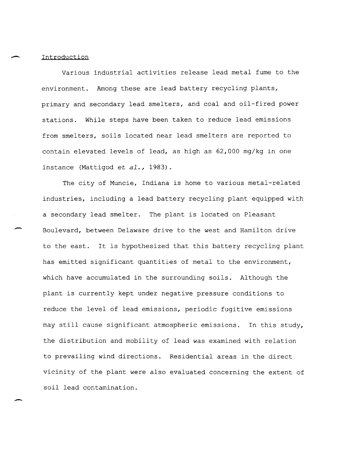# Introduction

-

Various industrial activities release lead metal fume to the environment. Among these are lead battery recycling plants, primary and secondary lead smelters, and coal and oil-fired power stations. While steps have been taken to reduce lead emissions from smelters, soils located near lead smelters are reported to contain elevated levels of lead, as high as 62,000 mg/kg in one instance (Mattigod et *al.,* 1983).

The city of Muncie, Indiana is home to various metal-related industries, including a lead battery recycling plant equipped with a secondary lead smelter. The plant is located on Pleasant Boulevard, between Delaware drive to the west and Hamilton drive to the east. It is hypothesized that this battery recycling plant has emitted significant quantities of metal to the environment, which have accumulated in the surrounding soils. Although the plant is currently kept under negative pressure conditions to reduce the level of lead emissions, periodic fugitive emissions may still cause significant atmospheric emissions. In this study, the distribution and mobility of lead was examined with relation to prevailing wind directions. Residential areas in the direct vicinity of the plant were also evaluated concerning the extent of soil lead contamination.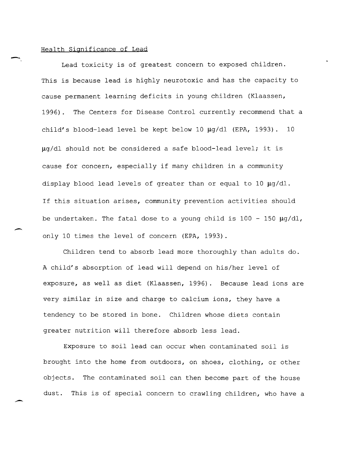### Health Significance of Lead

Lead toxicity is of greatest concern to exposed children. This is because lead is highly neurotoxic and has the capacity to cause permanent learning deficits in young children (Klaassen, 1996). The Centers for Disease Control currently recommend that a child's blood-lead level be kept below 10  $\mu$ g/dl (EPA, 1993). 10  $\mu q/dl$  should not be considered a safe blood-lead level; it is cause for concern, especially if many children in a community display blood lead levels of greater than or equal to 10  $\mu$ g/dl. If this situation arises, community prevention activities should be undertaken. The fatal dose to a young child is  $100 - 150 \mu g/dl$ , only 10 times the level of concern (EPA, 1993).

Children tend to absorb lead more thoroughly than adults do. A child's absorption of lead will depend on his/her level of exposure, as well as diet (Klaassen, 1996). Because lead ions are very similar in size and charge to calcium ions, they have a tendency to be stored in bone. Children whose diets contain greater nutrition will therefore absorb less lead.

Exposure to soil lead can occur when contaminated soil is brought into the home from outdoors, on shoes, clothing, or other objects. The contaminated soil can then become part of the house dust. This is of special concern to crawling children, who have a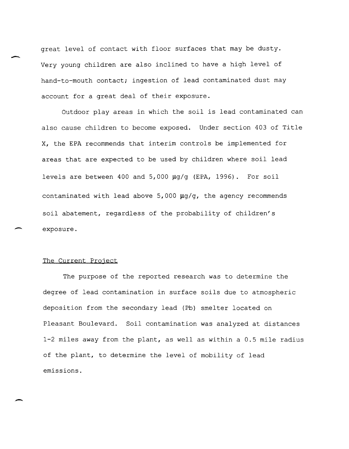great level of contact with floor surfaces that may be dusty. Very young children are also inclined to have a high level of hand-to-mouth contact; ingestion of lead contaminated dust may account for a great deal of their exposure.

Outdoor play areas in which the soil is lead contaminated can also cause children to become exposed. Under section 403 of Title X, the EPA recommends that interim controls be implemented for areas that are expected to be used by children where soil lead levels are between 400 and  $5,000 \mu q/q$  (EPA, 1996). For soil contaminated with lead above  $5,000 ~\mu g/g$ , the agency recommends soil abatement, regardless of the probability of children's exposure.

## The Current Project

The purpose of the reported research was to determine the degree of lead contamination in surface soils due to atmospheric deposition from the secondary lead (Pb) smelter located on Pleasant Boulevard. Soil contamination was analyzed at distances 1-2 miles away from the plant, as well as within a 0.5 mile radius of the plant, to determine the level of mobility of lead emissions.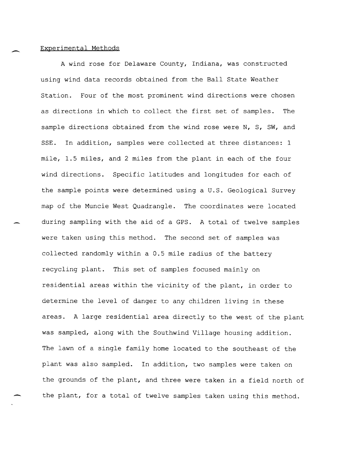#### Experimental Methods

A wind rose for Delaware County, Indiana, was constructed using wind data records obtained from the Ball State Weather Station. Four of the most prominent wind directions were chosen as directions in which to collect the first set of samples. The sample directions obtained from the wind rose were N, S, SW, and SSE. In addition, samples were collected at three distances: 1 mile, 1.5 miles, and 2 miles from the plant in each of the four wind directions. Specific latitudes and longitudes for each of the sample points were determined using a U.S. Geological Survey map of the Muncie West Quadrangle. The coordinates were located during sampling with the aid of a GPS. A total of twelve samples were taken using this method. The second set of samples was collected randomly within a 0.5 mile radius of the battery recycling plant. This set of samples focused mainly on residential areas within the vicinity of the plant, in order to determine the level of danger to any children living in these areas. A large residential area directly to the west of the plant was sampled, along with the Southwind Village housing addition. The lawn of a single family home located to the southeast of the plant was also sampled. In addition, two samples were taken on the grounds of the plant, and three were taken in a field north of the plant, for a total of twelve samples taken using this method.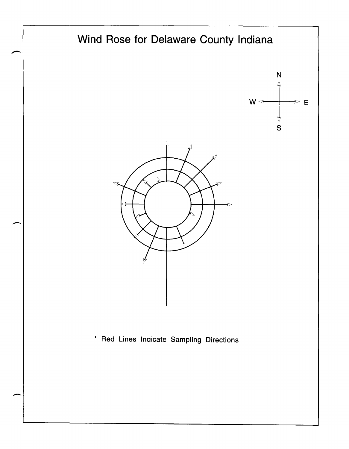

-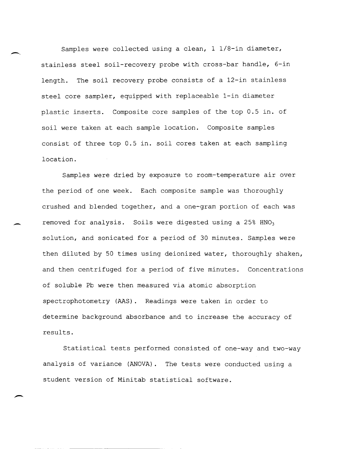Samples were collected using a clean, 1 1/8-in diameter, stainless steel soil-recovery probe with cross-bar handle, 6-in length. The soil recovery probe consists of a 12-in stainless steel core sampler, equipped with replaceable I-in diameter plastic inserts. Composite core samples of the top 0.5 in. of soil were taken at each sample location. Composite samples consist of three top 0.5 in. soil cores taken at each sampling location.

Samples were dried by exposure to room-temperature air over the period of one week. Each composite sample was thoroughly crushed and blended together, and a one-gram portion of each was removed for analysis. Soils were digested using a 25%  $HNO<sub>3</sub>$ solution, and sonicated for a period of 30 minutes. Samples were then diluted by 50 times using deionized water, thoroughly shaken, and then centrifuged for a period of five minutes. Concentrations of soluble Pb were then measured via atomic absorption spectrophotometry (AAS). Readings were taken in order to determine background absorbance and to increase the accuracy of results.

Statistical tests performed consisted of one-way and two-way analysis of variance (ANOVA). The tests were conducted using a student version of Minitab statistical software.

-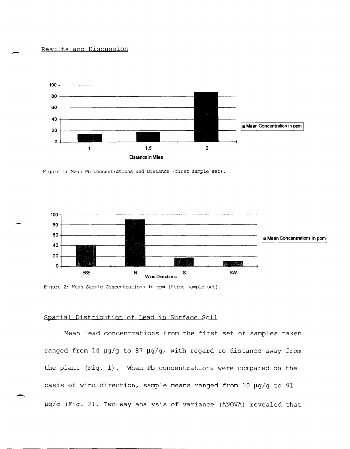# Results and Discussion



Figure 1: Mean Pb Concentrations and Distance (first sample set) .





# Spatial Distribution of Lead in Surface Soil

Mean lead concentrations from the first set of samples taken ranged from 14  $\mu$ g/g to 87  $\mu$ g/g, with regard to distance away from the plant (Fig. 1). When Pb concentrations were compared on the basis of wind direction, sample means ranged from 10  $\mu$ g/g to 91 µg/g (Fig. 2). Two-way analysis of variance (ANOVA) revealed that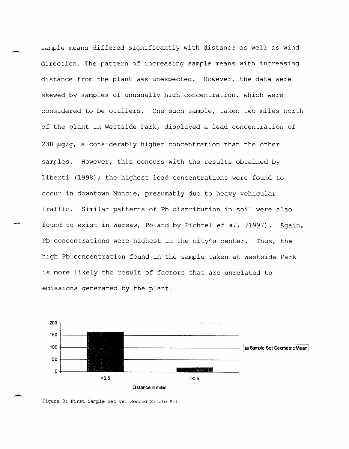sample means differed significantly with distance as well as wind direction. The pattern of increasing sample means with increasing distance from the plant was unexpected. However, the data were skewed by samples of unusually high concentration, which were considered to be outliers. One such sample, taken two miles north of the plant in Westside Park, displayed a lead concentration of 238  $\mu$ g/g, a considerably higher concentration than the other samples. However, this concurs with the results obtained by Liberti (1998); the highest lead concentrations were found to occur in downtown Muncie, presumably due to heavy vehicular traffic. Similar patterns of Pb distribution in soil were also found to exist in Warsaw, Poland by Pichtel et al. (1997). Again, Pb concentrations were highest in the city's center. Thus, the high Pb concentration found in the sample taken at Westside Park is more likely the result of factors that are unrelated to emissions generated by the plant.



Figure 3: First Sample Set vs. Second Sample Set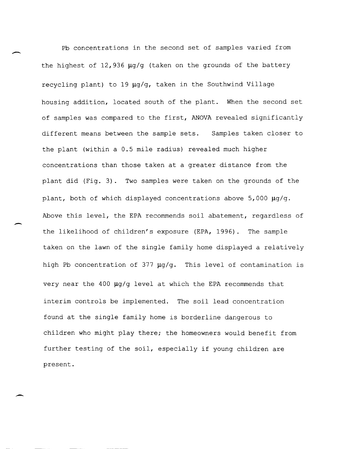Pb concentrations in the second set of samples varied from the highest of  $12,936$   $\mu$ g/g (taken on the grounds of the battery recycling plant) to 19  $\mu$ g/g, taken in the Southwind Village housing addition, located south of the plant. When the second set of samples was compared to the first, ANOVA revealed significantly different means between the sample sets. Samples taken closer to the plant (within a 0.5 mile radius) revealed much higher concentrations than those taken at a greater distance from the plant did (Fig. 3). Two samples were taken on the grounds of the plant, both of which displayed concentrations above  $5,000 \mu q/q$ . Above this level, the EPA recommends soil abatement, regardless of the likelihood of children's exposure (EPA, 1996). The sample taken on the lawn of the single family home displayed a relatively high Pb concentration of 377  $\mu q/q$ . This level of contamination is very near the 400  $\mu$ g/g level at which the EPA recommends that interim controls be implemented. The soil lead concentration found at the single family home is borderline dangerous to children who might play there; the homeowners would benefit from further testing of the soil, especially if young children are present.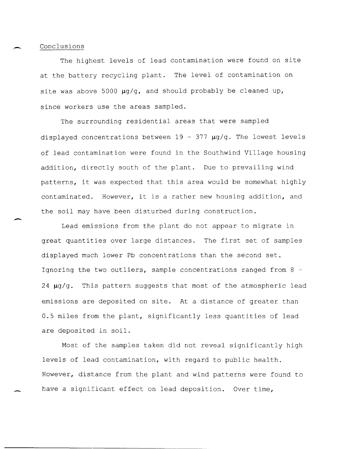Conclusions

--

-

The highest levels of lead contamination were found on site at the battery recycling plant. The level of contamination on site was above 5000  $\mu$ g/g, and should probably be cleaned up, since workers use the areas sampled.

The surrounding residential areas that were sampled displayed concentrations between  $19 - 377 \mu g/g$ . The lowest levels of lead contamination were found in the Southwind Village housing addition, directly south of the plant. Due to prevailing wind patterns, it was expected that this area would be somewhat highly contaminated. However, it is a rather new housing addition, and the soil may have been disturbed during construction.

Lead emissions from the plant do not appear to migrate in great quantities over large distances. The first set of samples displayed much lower Pb concentrations than the second set. Ignoring the two outliers, sample concentrations ranged from 8 -  $24 ~\mu g/g.$  This pattern suggests that most of the atmospheric lead emissions are deposited on site. At a distance of greater than 0.5 miles from the plant, significantly less quantities of lead are deposited in soil.

Most of the samples taken did not reveal significantly high levels of lead contamination, with regard to public health. However, distance from the plant and wind patterns were found to have a significant effect on lead deposition. Over time,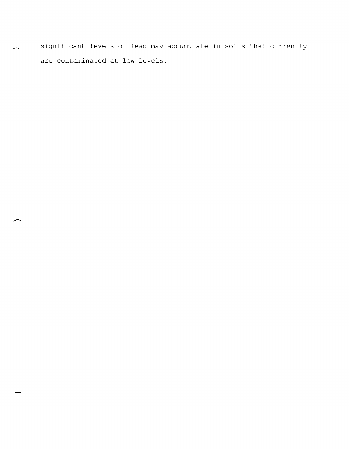significant levels of lead may accumulate in soils that currently are contaminated at low levels.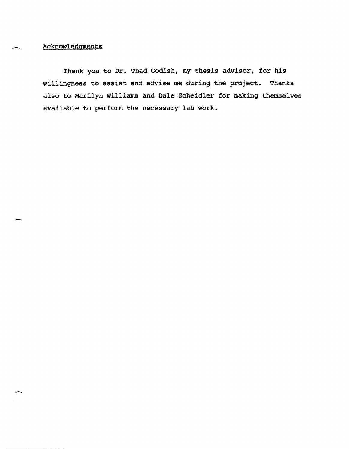Acknowledgments

Thank you to Dr. Thad Godish, my thesis advisor, for his willingness to assist and advise me during the project. Thanks also to Marilyn Williams and Dale Scheidler for making themselves available to perform the necessary lab work.